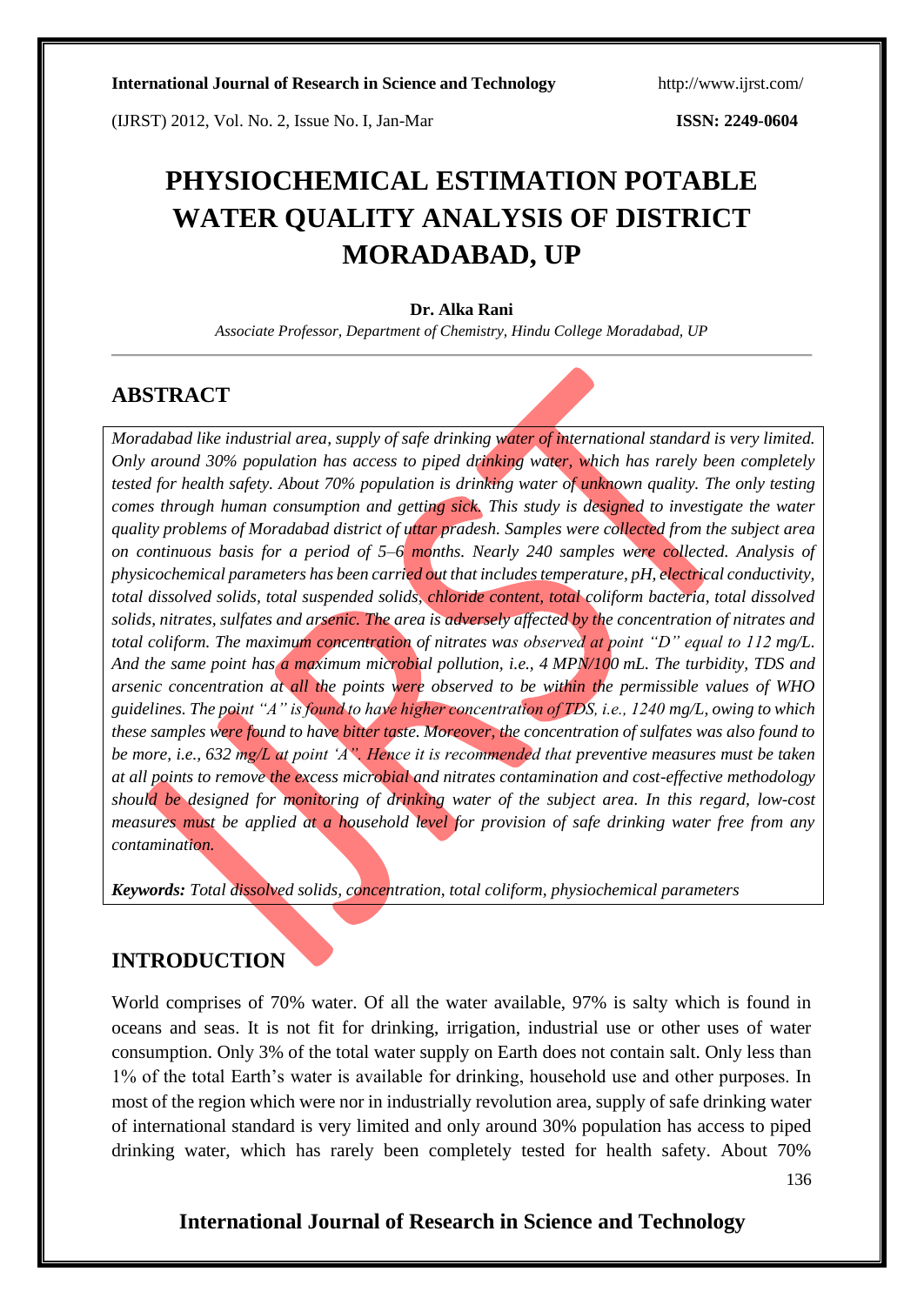(IJRST) 2012, Vol. No. 2, Issue No. I, Jan-Mar **ISSN: 2249-0604**

# **PHYSIOCHEMICAL ESTIMATION POTABLE WATER QUALITY ANALYSIS OF DISTRICT MORADABAD, UP**

#### **Dr. Alka Rani**

*Associate Professor, Department of Chemistry, Hindu College Moradabad, UP*

## **ABSTRACT**

*Moradabad like industrial area, supply of safe drinking water of international standard is very limited. Only around 30% population has access to piped drinking water, which has rarely been completely tested for health safety. About 70% population is drinking water of unknown quality. The only testing comes through human consumption and getting sick. This study is designed to investigate the water quality problems of Moradabad district of uttar pradesh. Samples were collected from the subject area on continuous basis for a period of 5–6 months. Nearly 240 samples were collected. Analysis of physicochemical parameters has been carried out that includes temperature, pH, electrical conductivity, total dissolved solids, total suspended solids, chloride content, total coliform bacteria, total dissolved solids, nitrates, sulfates and arsenic. The area is adversely affected by the concentration of nitrates and total coliform. The maximum concentration of nitrates was observed at point "D" equal to 112 mg/L. And the same point has a maximum microbial pollution, i.e., 4 MPN/100 mL. The turbidity, TDS and arsenic concentration at all the points were observed to be within the permissible values of WHO guidelines. The point "A" is found to have higher concentration of TDS, i.e., 1240 mg/L, owing to which these samples were found to have bitter taste. Moreover, the concentration of sulfates was also found to be more, i.e., 632 mg/L at point 'A". Hence it is recommended that preventive measures must be taken at all points to remove the excess microbial and nitrates contamination and cost-effective methodology should be designed for monitoring of drinking water of the subject area. In this regard, low-cost measures must be applied at a household level for provision of safe drinking water free from any contamination.*

*Keywords: Total dissolved solids, concentration, total coliform, physiochemical parameters*

## **INTRODUCTION**

World comprises of 70% water. Of all the water available, 97% is salty which is found in oceans and seas. It is not fit for drinking, irrigation, industrial use or other uses of water consumption. Only 3% of the total water supply on Earth does not contain salt. Only less than 1% of the total Earth's water is available for drinking, household use and other purposes. In most of the region which were nor in industrially revolution area, supply of safe drinking water of international standard is very limited and only around 30% population has access to piped drinking water, which has rarely been completely tested for health safety. About 70%

136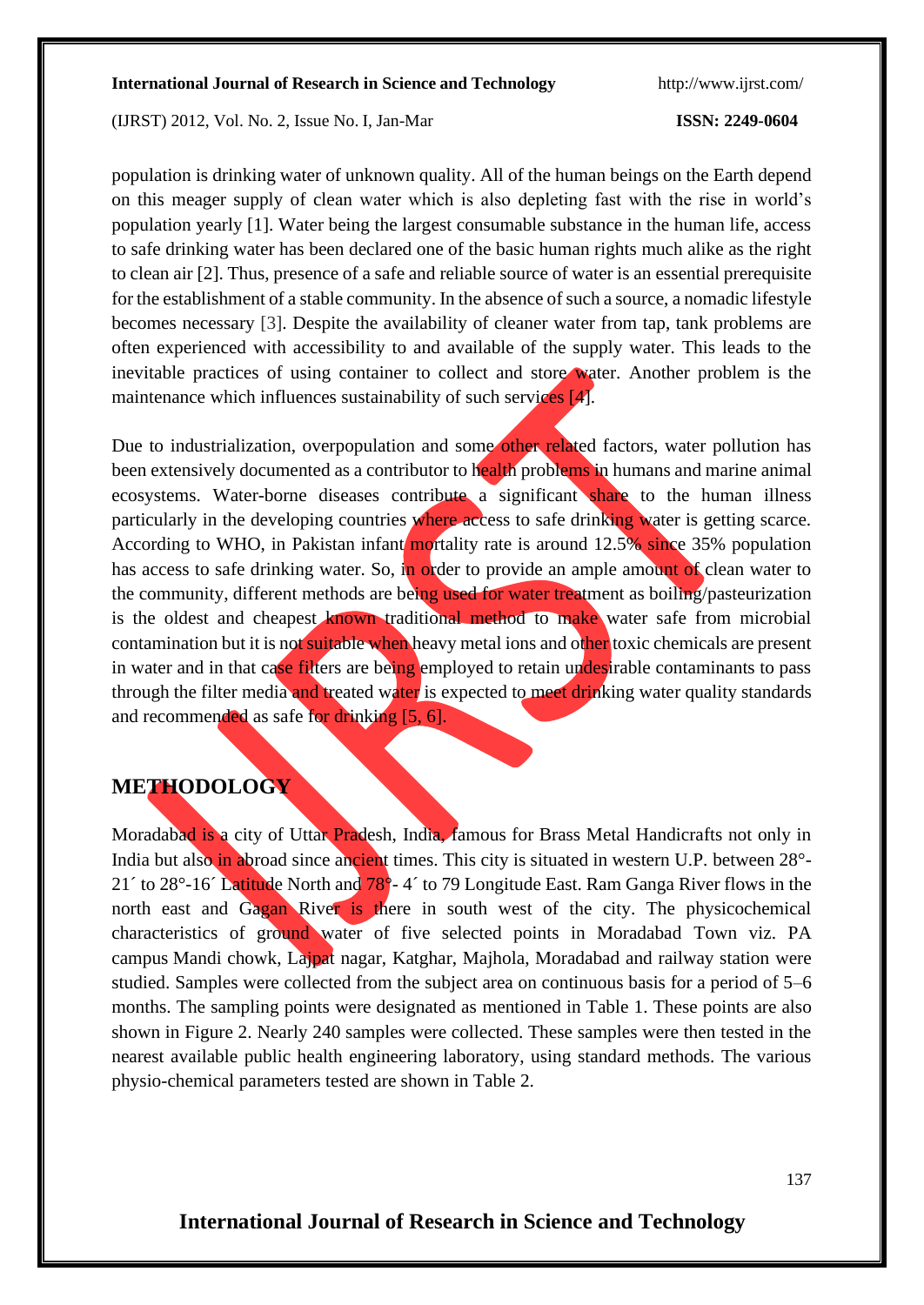(IJRST) 2012, Vol. No. 2, Issue No. I, Jan-Mar **ISSN: 2249-0604**

population is drinking water of unknown quality. All of the human beings on the Earth depend on this meager supply of clean water which is also depleting fast with the rise in world's population yearly [1]. Water being the largest consumable substance in the human life, access to safe drinking water has been declared one of the basic human rights much alike as the right to clean air [2]. Thus, presence of a safe and reliable source of water is an essential prerequisite for the establishment of a stable community. In the absence of such a source, a nomadic lifestyle becomes necessary [3]. Despite the availability of cleaner water from tap, tank problems are often experienced with accessibility to and available of the supply water. This leads to the inevitable practices of using container to collect and store water. Another problem is the maintenance which influences sustainability of such services [4].

Due to industrialization, overpopulation and some other related factors, water pollution has been extensively documented as a contributor to health problems in humans and marine animal ecosystems. Water-borne diseases contribute a significant share to the human illness particularly in the developing countries where access to safe drinking water is getting scarce. According to WHO, in Pakistan infant mortality rate is around  $12.5\%$  since 35% population has access to safe drinking water. So, in order to provide an ample amount of clean water to the community, different methods are being used for water treatment as boiling/pasteurization is the oldest and cheapest known traditional method to make water safe from microbial contamination but it is not suitable when heavy metal ions and other toxic chemicals are present in water and in that case filters are being employed to retain undesirable contaminants to pass through the filter media and treated water is expected to meet drinking water quality standards and recommended as safe for drinking [5, 6].

## **METHODOLOGY**

Moradabad is a city of Uttar Pradesh, India, famous for Brass Metal Handicrafts not only in India but also in abroad since ancient times. This city is situated in western U.P. between 28°-21<sup> $\degree$ </sup> to 28 $\degree$ -16 $\degree$  Latitude North and 78 $\degree$ -4 $\degree$  to 79 Longitude East. Ram Ganga River flows in the north east and Gagan River is there in south west of the city. The physicochemical characteristics of ground water of five selected points in Moradabad Town viz. PA campus Mandi chowk, Lajpat nagar, Katghar, Majhola, Moradabad and railway station were studied. Samples were collected from the subject area on continuous basis for a period of 5*–*6 months. The sampling points were designated as mentioned in Table 1. These points are also shown in Figure 2. Nearly 240 samples were collected. These samples were then tested in the nearest available public health engineering laboratory, using standard methods. The various physio-chemical parameters tested are shown in Table 2.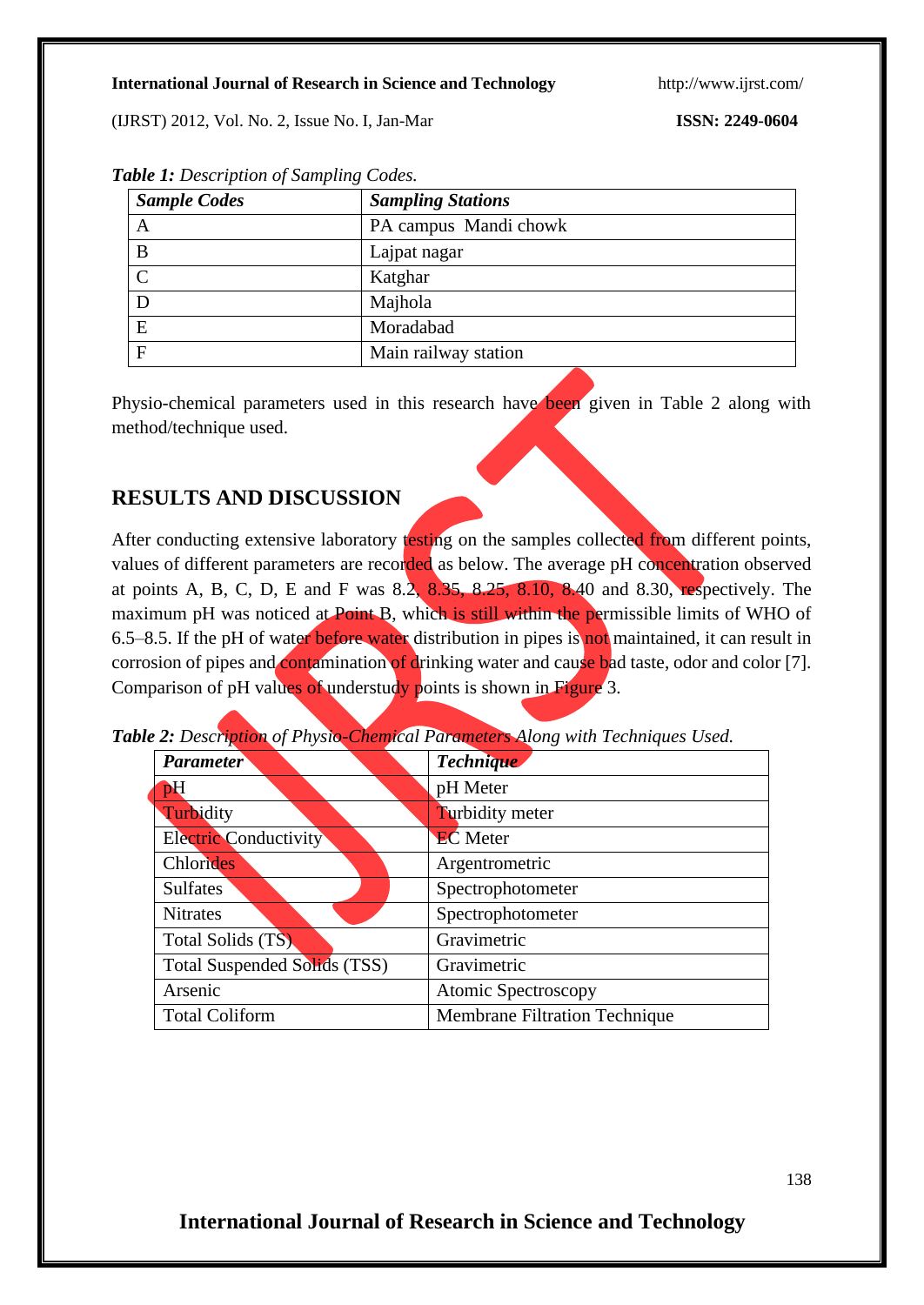(IJRST) 2012, Vol. No. 2, Issue No. I, Jan-Mar **ISSN: 2249-0604**

| <b>Sample Codes</b> | <b>Sampling Stations</b> |
|---------------------|--------------------------|
| A                   | PA campus Mandi chowk    |
| B                   | Lajpat nagar             |
| $\overline{C}$      | Katghar                  |
| D                   | Majhola                  |
| E                   | Moradabad                |
| F                   | Main railway station     |

*Table 1: Description of Sampling Codes.*

Physio-chemical parameters used in this research have been given in Table 2 along with method/technique used.

## **RESULTS AND DISCUSSION**

After conducting extensive laboratory testing on the samples collected from different points, values of different parameters are recorded as below. The average pH concentration observed at points A, B, C, D, E and F was  $8.\overline{2, 8.35, 8.25, 8.10, 8.40}$  and  $8.30$ , respectively. The maximum pH was noticed at Point B, which is still within the permissible limits of WHO of 6.5–8.5. If the pH of water before water distribution in pipes is not maintained, it can result in corrosion of pipes and contamination of drinking water and cause bad taste, odor and color [7]. Comparison of pH values of understudy points is shown in Figure 3.

|  |  |  |  |  | Table 2: Description of Physio-Chemical Parameters Along with Techniques Used. |
|--|--|--|--|--|--------------------------------------------------------------------------------|
|--|--|--|--|--|--------------------------------------------------------------------------------|

| <b>Parameter</b>             | <b>Technique</b>                     |  |  |
|------------------------------|--------------------------------------|--|--|
| pH                           | pH Meter                             |  |  |
| Turbidity                    | Turbidity meter                      |  |  |
| <b>Electric Conductivity</b> | <b>EC</b> Meter                      |  |  |
| Chlorides                    | Argentrometric                       |  |  |
| <b>Sulfates</b>              | Spectrophotometer                    |  |  |
| <b>Nitrates</b>              | Spectrophotometer                    |  |  |
| Total Solids (TS).           | Gravimetric                          |  |  |
| Total Suspended Solids (TSS) | Gravimetric                          |  |  |
| Arsenic                      | <b>Atomic Spectroscopy</b>           |  |  |
| <b>Total Coliform</b>        | <b>Membrane Filtration Technique</b> |  |  |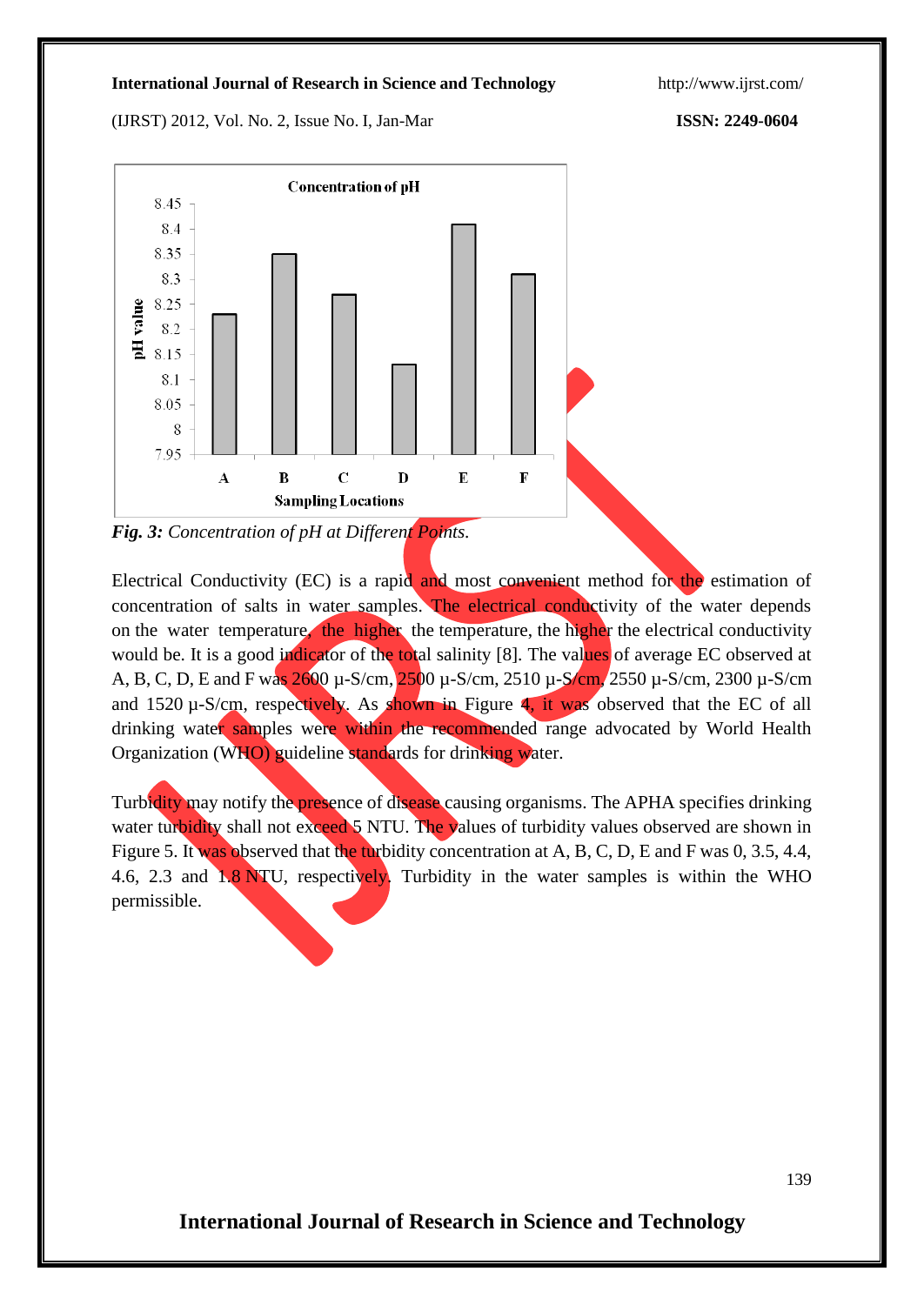(IJRST) 2012, Vol. No. 2, Issue No. I, Jan-Mar **ISSN: 2249-0604**



*Fig. 3: Concentration of pH at Different Points.*

Electrical Conductivity (EC) is a rapid and most convenient method for the estimation of concentration of salts in water samples. The electrical conductivity of the water depends on the water temperature, the higher the temperature, the higher the electrical conductivity would be. It is a good indicator of the total salinity [8]. The values of average EC observed at A, B, C, D, E and F was 2600 µ-S/cm, 2500 µ-S/cm, 2510 µ-S/cm, 2550 µ-S/cm, 2300 µ-S/cm and 1520 µ-S/cm, respectively. As shown in Figure 4, it was observed that the EC of all drinking water samples were within the recommended range advocated by World Health Organization (WHO) guideline standards for drinking water.

Turbidity may notify the presence of disease causing organisms. The APHA specifies drinking water turbidity shall not exceed 5 NTU. The values of turbidity values observed are shown in Figure 5. It was observed that the turbidity concentration at A, B, C, D, E and F was 0, 3.5, 4.4, 4.6, 2.3 and 1.8 NTU, respectively. Turbidity in the water samples is within the WHO permissible.

139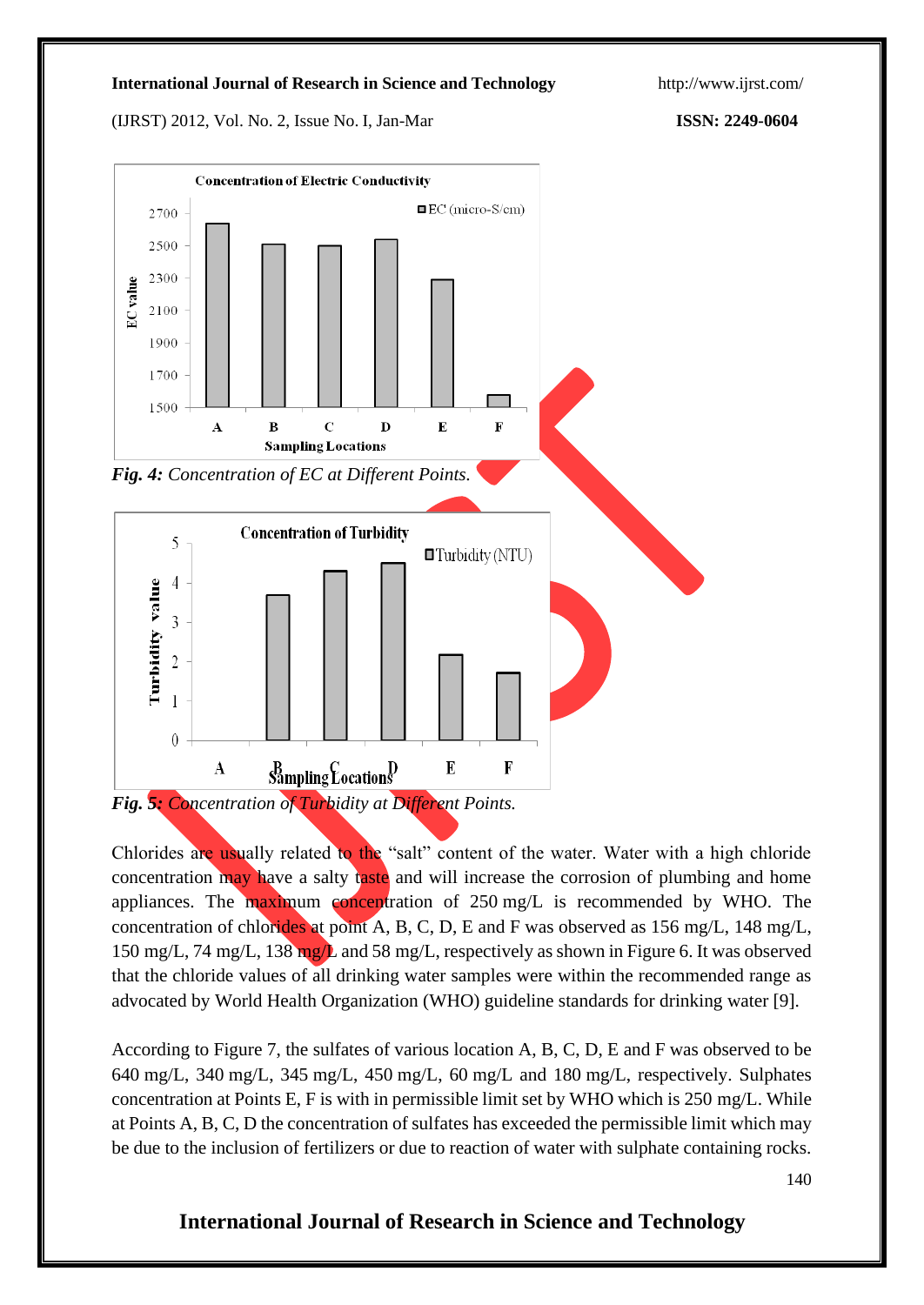(IJRST) 2012, Vol. No. 2, Issue No. I, Jan-Mar **ISSN: 2249-0604**



Chlorides are usually related to the "salt" content of the water. Water with a high chloride concentration may have a salty taste and will increase the corrosion of plumbing and home appliances. The maximum concentration of  $250 \text{ mg/L}$  is recommended by WHO. The concentration of chlorides at point A, B, C, D, E and F was observed as 156 mg/L, 148 mg/L, 150 mg/L, 74 mg/L, 138 mg/L and 58 mg/L, respectively as shown in Figure 6. It was observed that the chloride values of all drinking water samples were within the recommended range as advocated by World Health Organization (WHO) guideline standards for drinking water [9].

According to Figure 7, the sulfates of various location A, B, C, D, E and F was observed to be 640 mg/L, 340 mg/L, 345 mg/L, 450 mg/L, 60 mg/L and 180 mg/L, respectively. Sulphates concentration at Points E, F is with in permissible limit set by WHO which is 250 mg/L. While at Points A, B, C, D the concentration of sulfates has exceeded the permissible limit which may be due to the inclusion of fertilizers or due to reaction of water with sulphate containing rocks.

140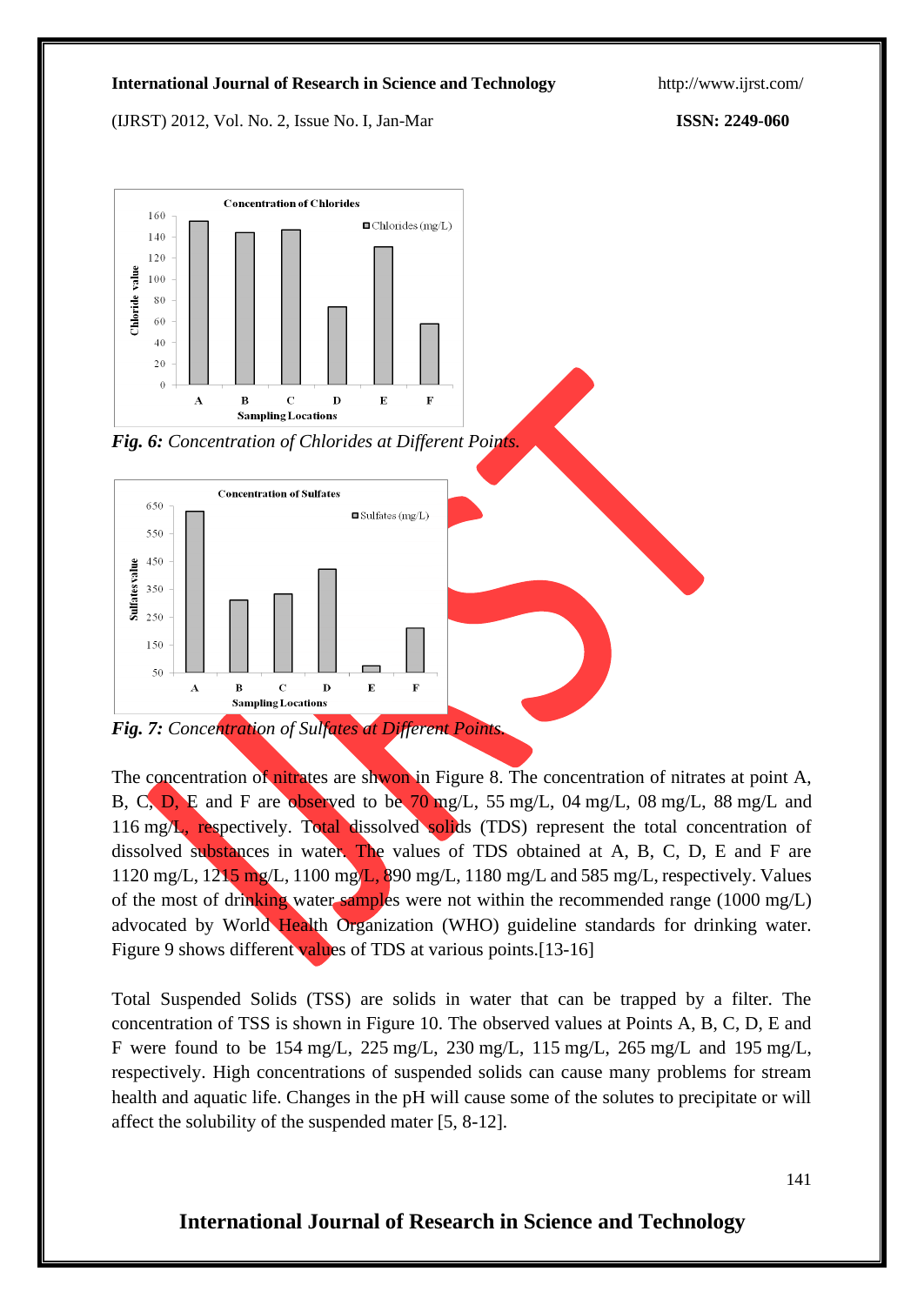(IJRST) 2012, Vol. No. 2, Issue No. I, Jan-Mar **ISSN: 2249-060**



*Fig. 6: Concentration of Chlorides at Different Points.*



*Fig. 7: Concentration of Sulfates at Different Points.*

The concentration of nitrates are shwon in Figure 8. The concentration of nitrates at point A, B, C, D, E and F are observed to be 70 mg/L, 55 mg/L, 04 mg/L, 08 mg/L, 88 mg/L and 116 mg/L, respectively. Total dissolved solids (TDS) represent the total concentration of dissolved substances in water. The values of TDS obtained at A, B, C, D, E and F are 1120 mg/L, 1215 mg/L, 1100 mg/L, 890 mg/L, 1180 mg/L and 585 mg/L, respectively. Values of the most of drinking water samples were not within the recommended range (1000 mg/L) advocated by World Health Organization (WHO) guideline standards for drinking water. Figure 9 shows different values of TDS at various points.[13-16]

Total Suspended Solids (TSS) are solids in water that can be trapped by a filter. The concentration of TSS is shown in Figure 10. The observed values at Points A, B, C, D, E and F were found to be 154 mg/L, 225 mg/L, 230 mg/L, 115 mg/L, 265 mg/L and 195 mg/L, respectively. High concentrations of suspended solids can cause many problems for stream health and aquatic life. Changes in the pH will cause some of the solutes to precipitate or will affect the solubility of the suspended mater [5, 8-12].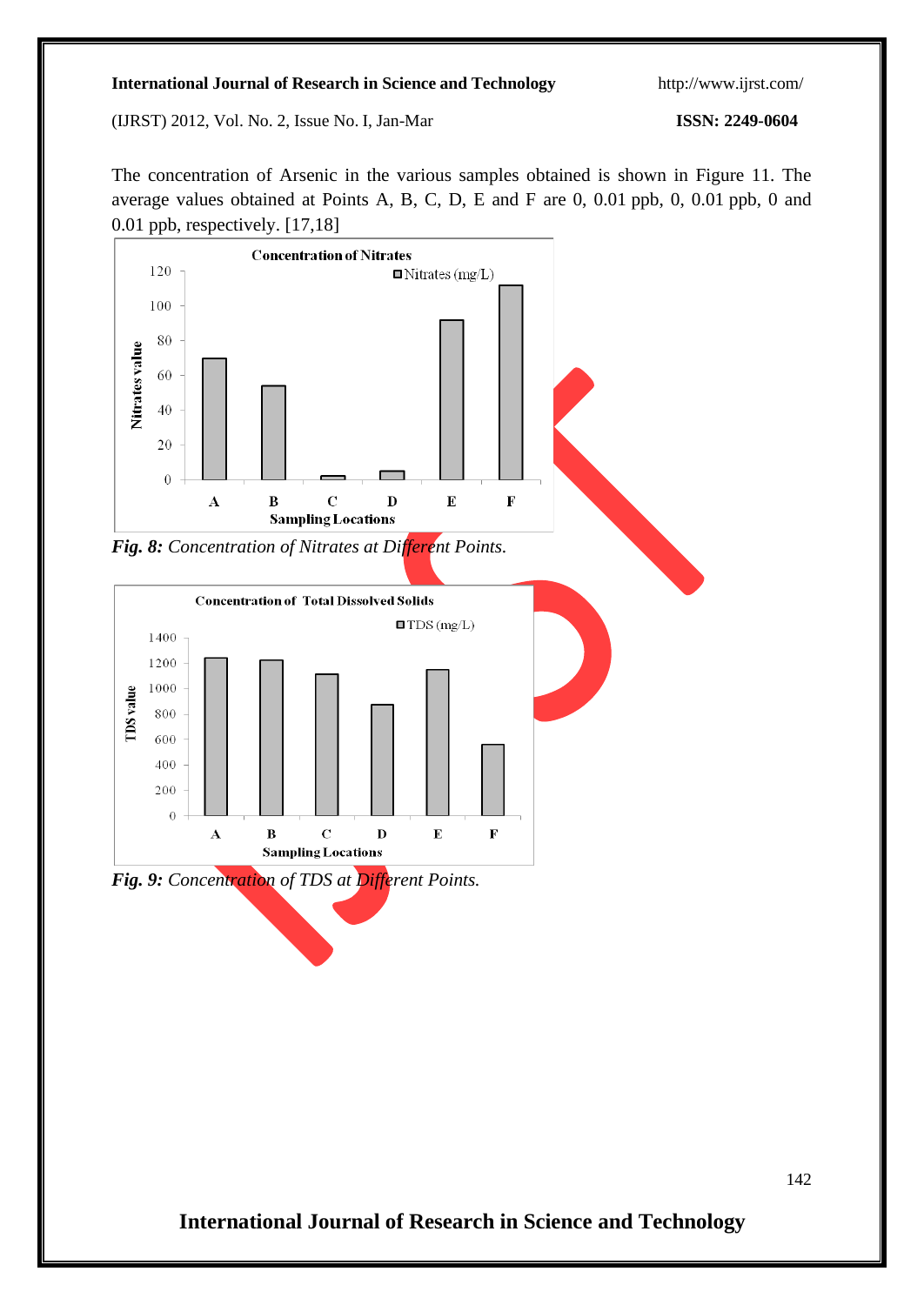(IJRST) 2012, Vol. No. 2, Issue No. I, Jan-Mar **ISSN: 2249-0604**

The concentration of Arsenic in the various samples obtained is shown in Figure 11. The average values obtained at Points A, B, C, D, E and F are 0, 0.01 ppb, 0, 0.01 ppb, 0 and 0.01 ppb, respectively. [17,18]





**International Journal of Research in Science and Technology**

142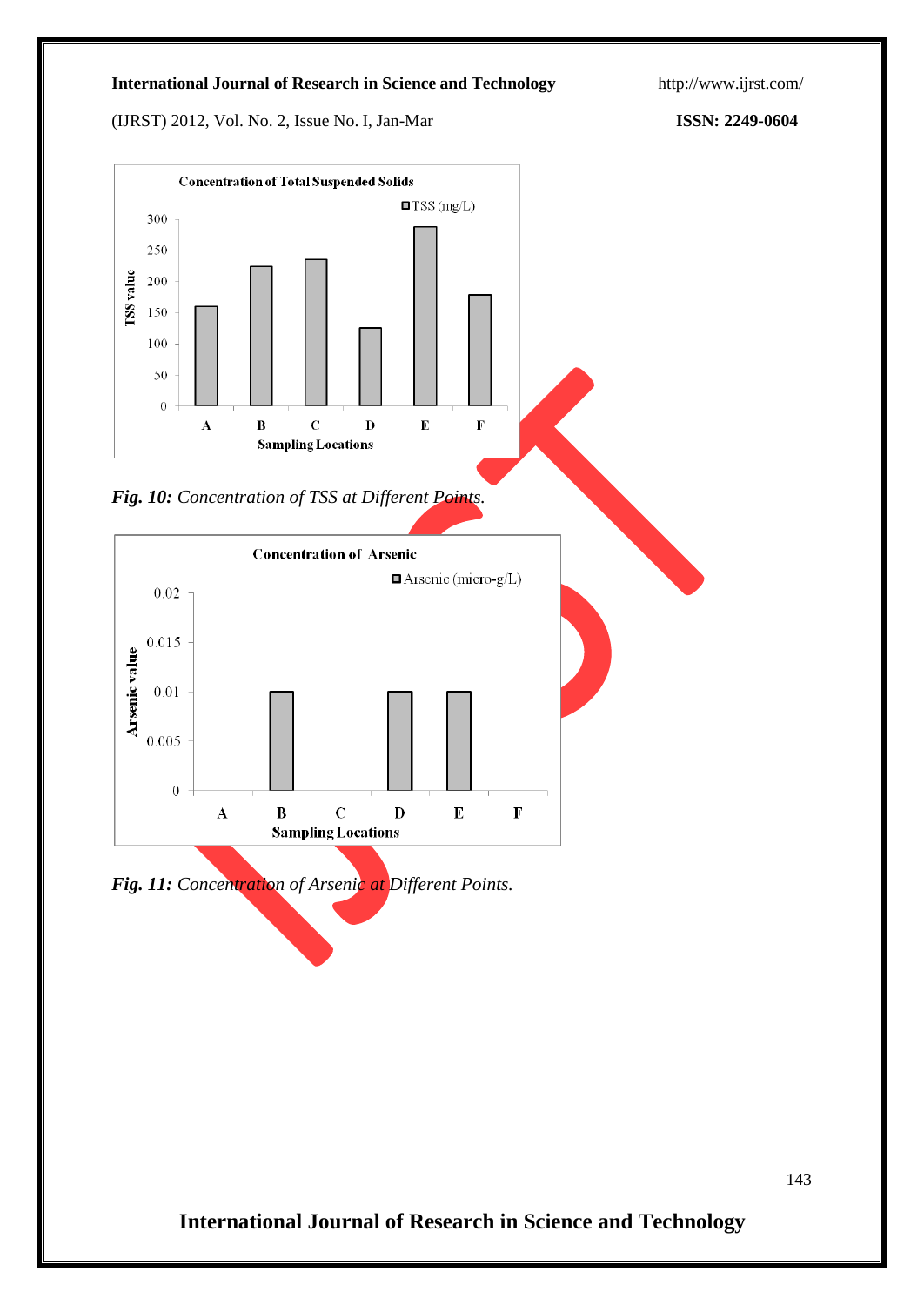(IJRST) 2012, Vol. No. 2, Issue No. I, Jan-Mar **ISSN: 2249-0604**







*Fig. 11: Concentration of Arsenic at Different Points.*

143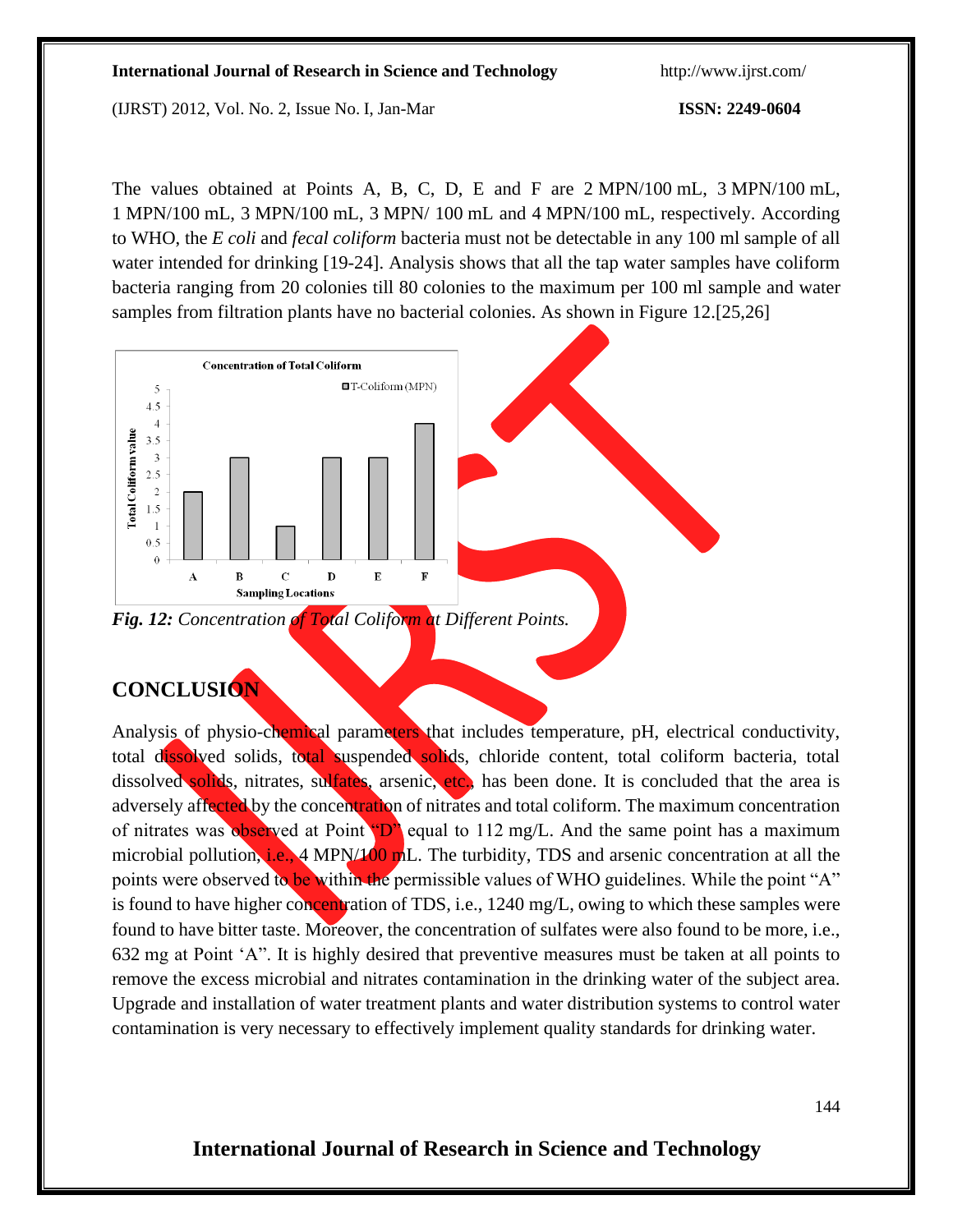(IJRST) 2012, Vol. No. 2, Issue No. I, Jan-Mar **ISSN: 2249-0604**

The values obtained at Points A, B, C, D, E and F are 2 MPN/100 mL, 3 MPN/100 mL, 1 MPN/100 mL, 3 MPN/100 mL, 3 MPN/ 100 mL and 4 MPN/100 mL, respectively. According to WHO, the *E coli* and *fecal coliform* bacteria must not be detectable in any 100 ml sample of all water intended for drinking [19-24]. Analysis shows that all the tap water samples have coliform bacteria ranging from 20 colonies till 80 colonies to the maximum per 100 ml sample and water samples from filtration plants have no bacterial colonies. As shown in Figure 12.[25,26]



## **CONCLUSION**

Analysis of physio-chemical parameters that includes temperature, pH, electrical conductivity, total dissolved solids, total suspended solids, chloride content, total coliform bacteria, total dissolved solids, nitrates, sulfates, arsenic, etc., has been done. It is concluded that the area is adversely affected by the concentration of nitrates and total coliform. The maximum concentration of nitrates was observed at Point  $"D"$  equal to 112 mg/L. And the same point has a maximum microbial pollution, i.e., 4 MPN/100 mL. The turbidity, TDS and arsenic concentration at all the points were observed to be within the permissible values of WHO guidelines. While the point "A" is found to have higher concentration of TDS, i.e., 1240 mg/L, owing to which these samples were found to have bitter taste. Moreover, the concentration of sulfates were also found to be more, i.e., 632 mg at Point 'A". It is highly desired that preventive measures must be taken at all points to remove the excess microbial and nitrates contamination in the drinking water of the subject area. Upgrade and installation of water treatment plants and water distribution systems to control water contamination is very necessary to effectively implement quality standards for drinking water.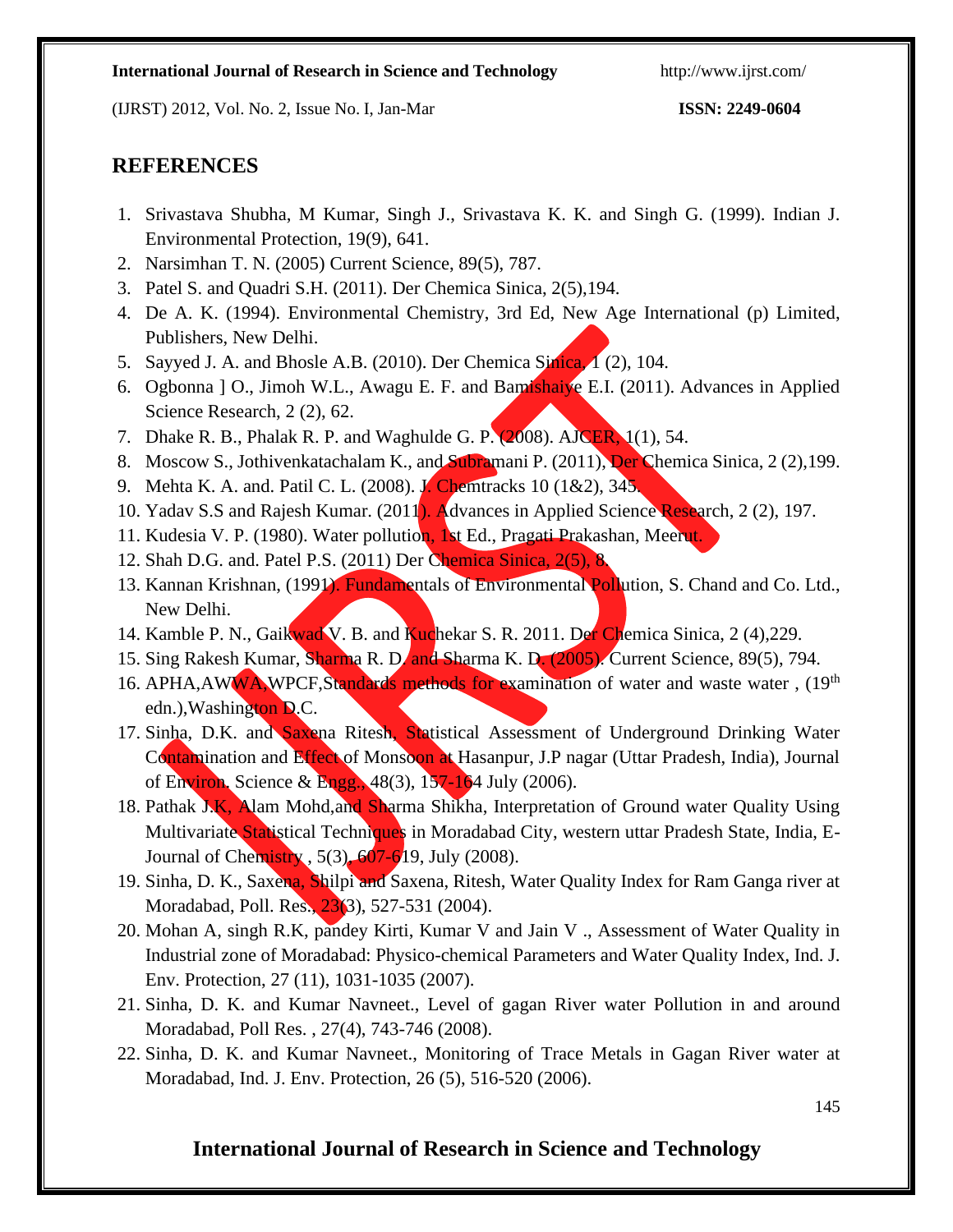(IJRST) 2012, Vol. No. 2, Issue No. I, Jan-Mar **ISSN: 2249-0604**

## **REFERENCES**

- 1. Srivastava Shubha, M Kumar, Singh J., Srivastava K. K. and Singh G. (1999). Indian J. Environmental Protection, 19(9), 641.
- 2. Narsimhan T. N. (2005) Current Science, 89(5), 787.
- 3. Patel S. and Quadri S.H. (2011). Der Chemica Sinica, 2(5),194.
- 4. De A. K. (1994). Environmental Chemistry, 3rd Ed, New Age International (p) Limited, Publishers, New Delhi.
- 5. Sayyed J. A. and Bhosle A.B. (2010). Der Chemica Sinica, 1 (2), 104.
- 6. Ogbonna ] O., Jimoh W.L., Awagu E. F. and Bamishaiye E.I. (2011). Advances in Applied Science Research, 2 (2), 62.
- 7. Dhake R. B., Phalak R. P. and Waghulde G. P. (2008). AJCER, 1(1), 54.
- 8. Moscow S., Jothivenkatachalam K., and Subramani P. (2011), Der Chemica Sinica, 2 (2), 199.
- 9. Mehta K. A. and. Patil C. L. (2008). J. Chemtracks 10 (1&2), 345.
- 10. Yadav S.S and Rajesh Kumar. (2011). Advances in Applied Science Research, 2 (2), 197.
- 11. Kudesia V. P. (1980). Water pollution, 1st Ed., Pragati Prakashan, Meerut.
- 12. Shah D.G. and. Patel P.S. (2011) Der Chemica Sinica, 2(5), 8.
- 13. Kannan Krishnan, (1991). Fundamentals of Environmental Pollution, S. Chand and Co. Ltd., New Delhi.
- 14. Kamble P. N., Gaikwad V. B. and Kuchekar S. R. 2011. Der Chemica Sinica, 2 (4),229.
- 15. Sing Rakesh Kumar, Sharma R. D. and Sharma K. D. (2005). Current Science, 89(5), 794.
- 16. APHA,AWWA,WPCF,Standards methods for examination of water and waste water, (19<sup>th</sup>) edn.),Washington D.C.
- 17. Sinha, D.K. and Saxena Ritesh, Statistical Assessment of Underground Drinking Water Contamination and Effect of Monsoon at Hasanpur, J.P nagar (Uttar Pradesh, India), Journal of Environ. Science & Engg., 48(3), 157-164 July (2006).
- 18. Pathak J.K, Alam Mohd,and Sharma Shikha, Interpretation of Ground water Quality Using Multivariate Statistical Techniques in Moradabad City, western uttar Pradesh State, India, E-Journal of Chemistry ,  $5(3)$ ,  $607-619$ , July (2008).
- 19. Sinha, D. K., Saxena, Shilpi and Saxena, Ritesh, Water Quality Index for Ram Ganga river at Moradabad, Poll. Res., 23(3), 527-531 (2004).
- 20. Mohan A, singh R.K, pandey Kirti, Kumar V and Jain V ., Assessment of Water Quality in Industrial zone of Moradabad: Physico-chemical Parameters and Water Quality Index, Ind. J. Env. Protection, 27 (11), 1031-1035 (2007).
- 21. Sinha, D. K. and Kumar Navneet., Level of gagan River water Pollution in and around Moradabad, Poll Res. , 27(4), 743-746 (2008).
- 22. Sinha, D. K. and Kumar Navneet., Monitoring of Trace Metals in Gagan River water at Moradabad, Ind. J. Env. Protection, 26 (5), 516-520 (2006).

145